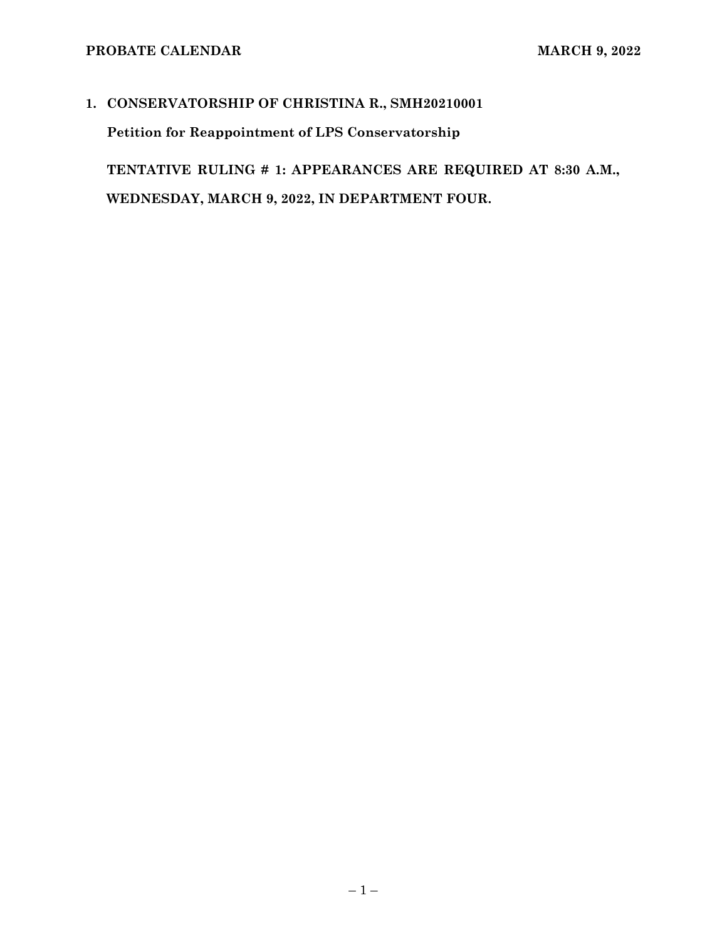# **1. CONSERVATORSHIP OF CHRISTINA R., SMH20210001**

**Petition for Reappointment of LPS Conservatorship** 

**TENTATIVE RULING # 1: APPEARANCES ARE REQUIRED AT 8:30 A.M., WEDNESDAY, MARCH 9, 2022, IN DEPARTMENT FOUR.**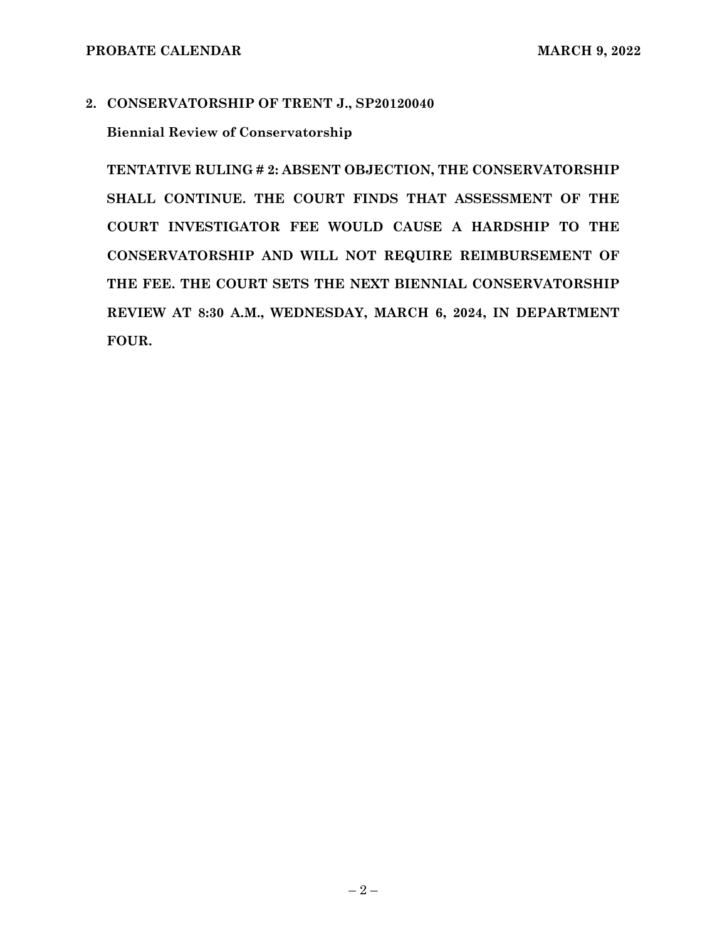# **2. CONSERVATORSHIP OF TRENT J., SP20120040**

**Biennial Review of Conservatorship** 

**TENTATIVE RULING # 2: ABSENT OBJECTION, THE CONSERVATORSHIP SHALL CONTINUE. THE COURT FINDS THAT ASSESSMENT OF THE COURT INVESTIGATOR FEE WOULD CAUSE A HARDSHIP TO THE CONSERVATORSHIP AND WILL NOT REQUIRE REIMBURSEMENT OF THE FEE. THE COURT SETS THE NEXT BIENNIAL CONSERVATORSHIP REVIEW AT 8:30 A.M., WEDNESDAY, MARCH 6, 2024, IN DEPARTMENT FOUR.**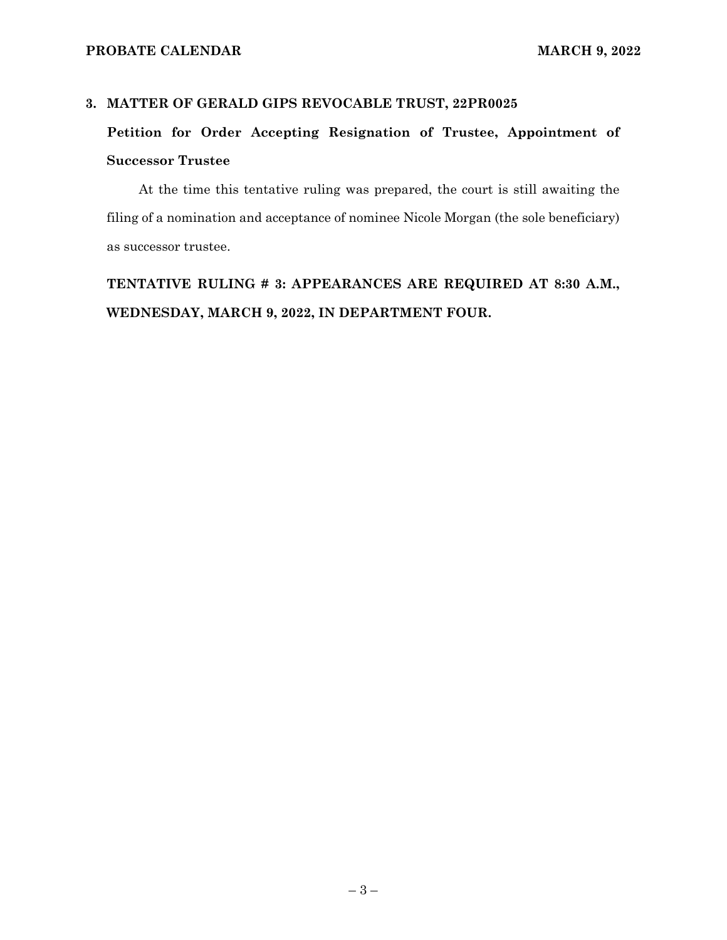## **3. MATTER OF GERALD GIPS REVOCABLE TRUST, 22PR0025**

# **Petition for Order Accepting Resignation of Trustee, Appointment of Successor Trustee**

At the time this tentative ruling was prepared, the court is still awaiting the filing of a nomination and acceptance of nominee Nicole Morgan (the sole beneficiary) as successor trustee.

**TENTATIVE RULING # 3: APPEARANCES ARE REQUIRED AT 8:30 A.M., WEDNESDAY, MARCH 9, 2022, IN DEPARTMENT FOUR.**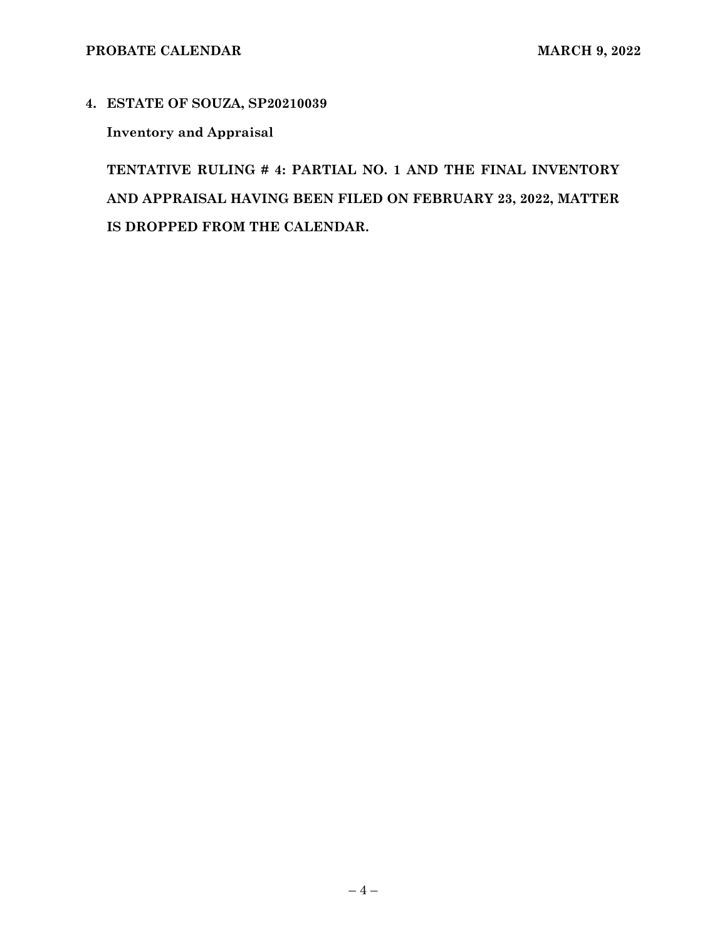# **4. ESTATE OF SOUZA, SP20210039**

**Inventory and Appraisal** 

**TENTATIVE RULING # 4: PARTIAL NO. 1 AND THE FINAL INVENTORY AND APPRAISAL HAVING BEEN FILED ON FEBRUARY 23, 2022, MATTER IS DROPPED FROM THE CALENDAR.**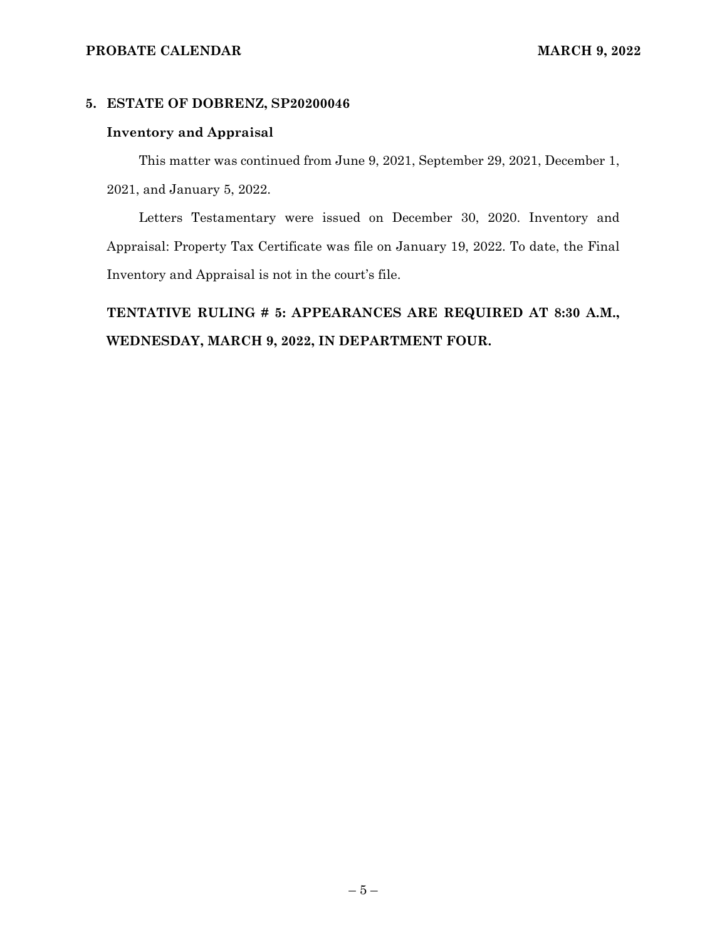### **PROBATE CALENDAR MARCH 9, 2022**

# **5. ESTATE OF DOBRENZ, SP20200046**

### **Inventory and Appraisal**

This matter was continued from June 9, 2021, September 29, 2021, December 1, 2021, and January 5, 2022.

Letters Testamentary were issued on December 30, 2020. Inventory and Appraisal: Property Tax Certificate was file on January 19, 2022. To date, the Final Inventory and Appraisal is not in the court's file.

**TENTATIVE RULING # 5: APPEARANCES ARE REQUIRED AT 8:30 A.M., WEDNESDAY, MARCH 9, 2022, IN DEPARTMENT FOUR.**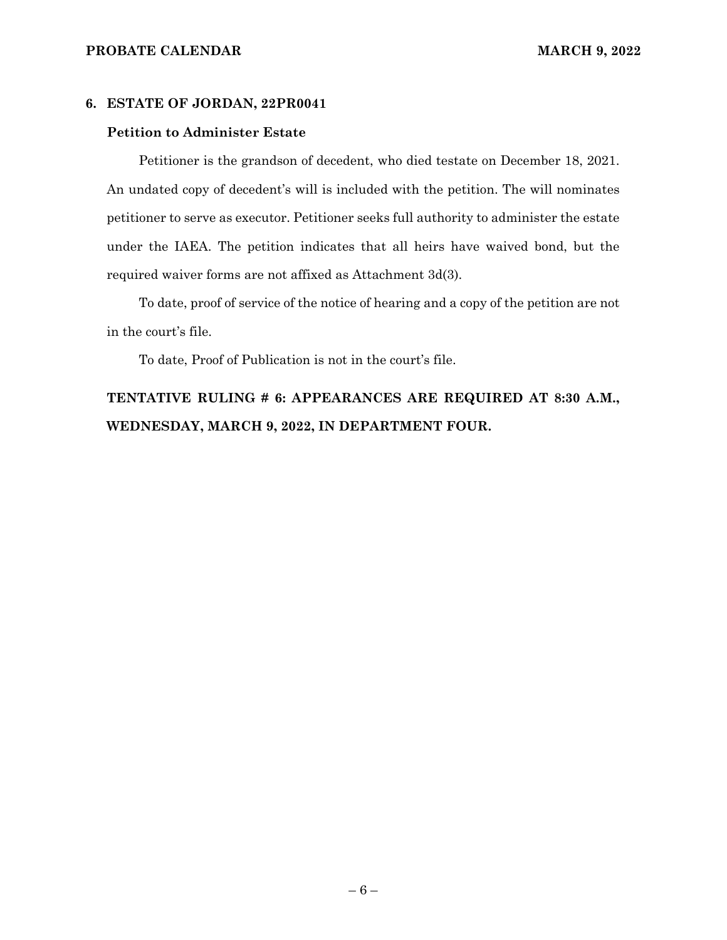#### **6. ESTATE OF JORDAN, 22PR0041**

#### **Petition to Administer Estate**

Petitioner is the grandson of decedent, who died testate on December 18, 2021. An undated copy of decedent's will is included with the petition. The will nominates petitioner to serve as executor. Petitioner seeks full authority to administer the estate under the IAEA. The petition indicates that all heirs have waived bond, but the required waiver forms are not affixed as Attachment 3d(3).

To date, proof of service of the notice of hearing and a copy of the petition are not in the court's file.

To date, Proof of Publication is not in the court's file.

# **TENTATIVE RULING # 6: APPEARANCES ARE REQUIRED AT 8:30 A.M., WEDNESDAY, MARCH 9, 2022, IN DEPARTMENT FOUR.**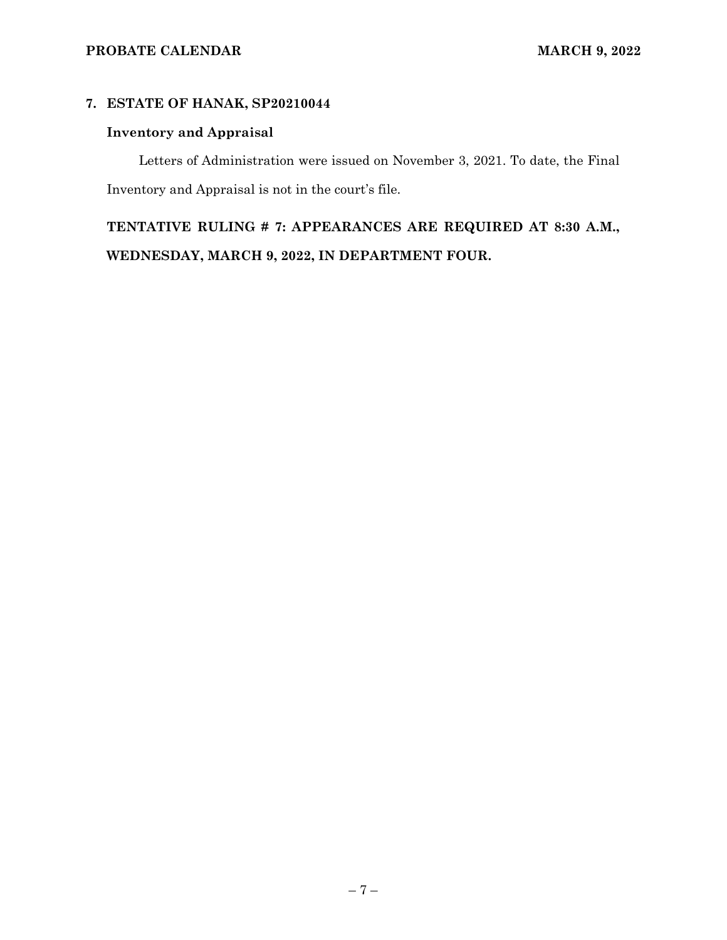# **7. ESTATE OF HANAK, SP20210044**

# **Inventory and Appraisal**

Letters of Administration were issued on November 3, 2021. To date, the Final Inventory and Appraisal is not in the court's file.

**TENTATIVE RULING # 7: APPEARANCES ARE REQUIRED AT 8:30 A.M., WEDNESDAY, MARCH 9, 2022, IN DEPARTMENT FOUR.**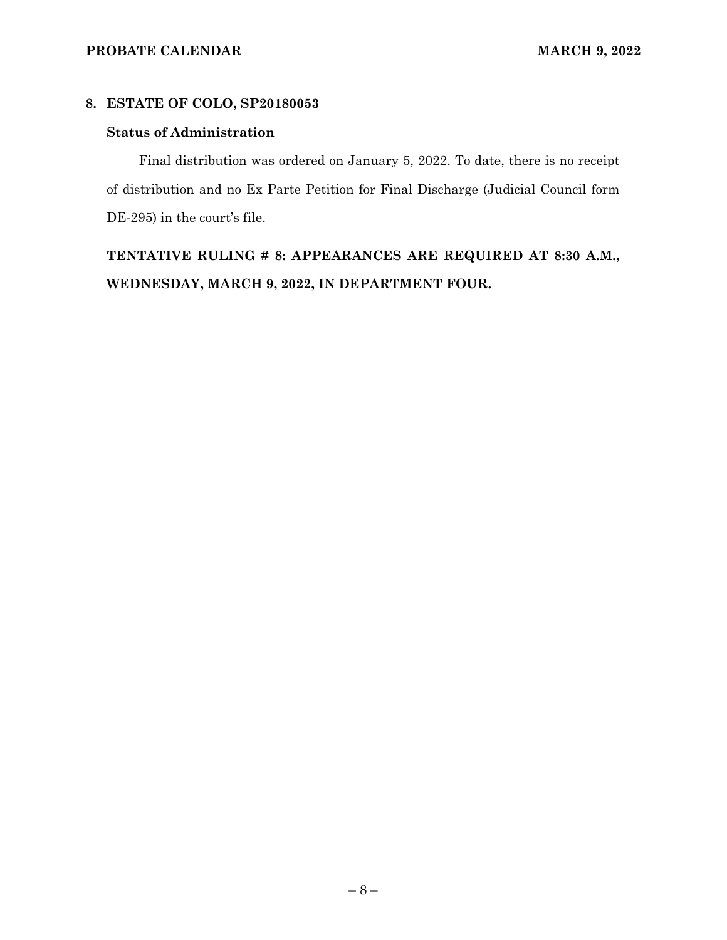# **8. ESTATE OF COLO, SP20180053**

# **Status of Administration**

Final distribution was ordered on January 5, 2022. To date, there is no receipt of distribution and no Ex Parte Petition for Final Discharge (Judicial Council form DE-295) in the court's file.

**TENTATIVE RULING # 8: APPEARANCES ARE REQUIRED AT 8:30 A.M., WEDNESDAY, MARCH 9, 2022, IN DEPARTMENT FOUR.**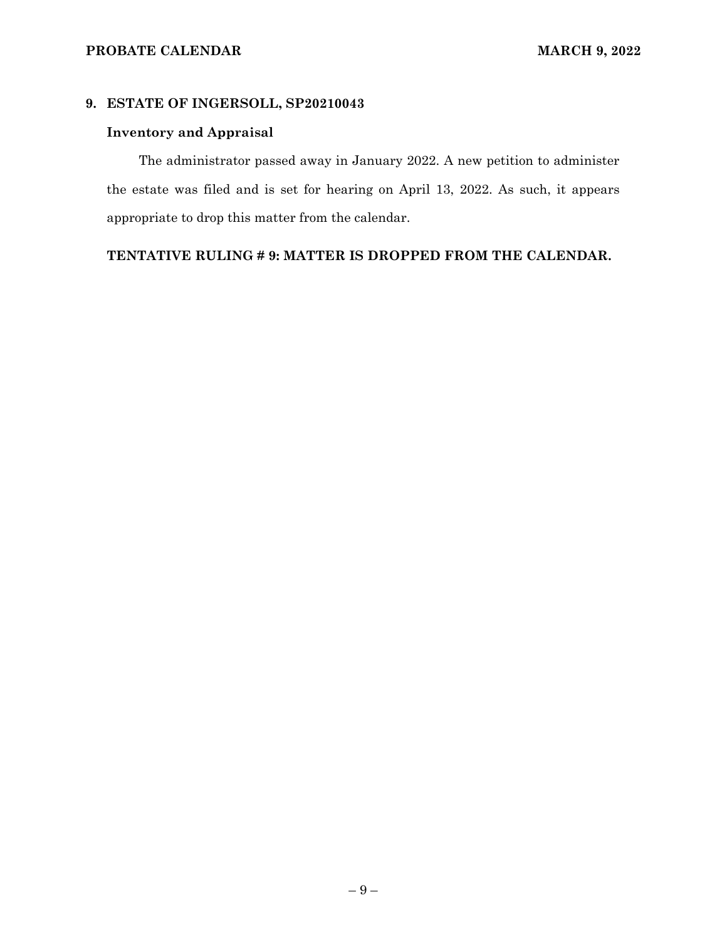# **9. ESTATE OF INGERSOLL, SP20210043**

# **Inventory and Appraisal**

The administrator passed away in January 2022. A new petition to administer the estate was filed and is set for hearing on April 13, 2022. As such, it appears appropriate to drop this matter from the calendar.

# **TENTATIVE RULING # 9: MATTER IS DROPPED FROM THE CALENDAR.**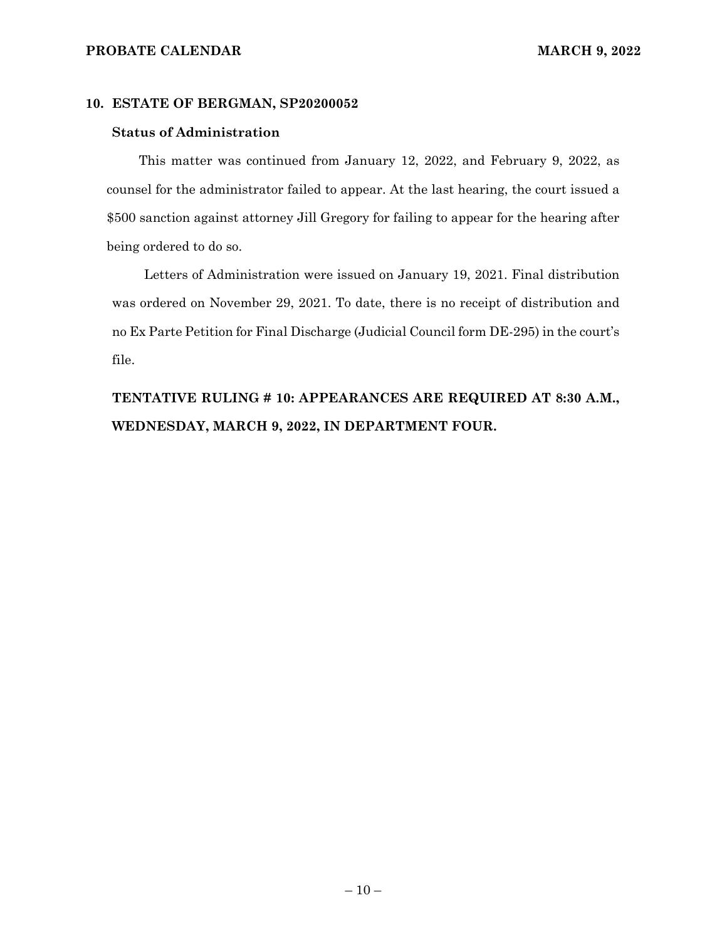#### **PROBATE CALENDAR MARCH 9, 2022**

#### **10. ESTATE OF BERGMAN, SP20200052**

### **Status of Administration**

This matter was continued from January 12, 2022, and February 9, 2022, as counsel for the administrator failed to appear. At the last hearing, the court issued a \$500 sanction against attorney Jill Gregory for failing to appear for the hearing after being ordered to do so.

Letters of Administration were issued on January 19, 2021. Final distribution was ordered on November 29, 2021. To date, there is no receipt of distribution and no Ex Parte Petition for Final Discharge (Judicial Council form DE-295) in the court's file.

**TENTATIVE RULING # 10: APPEARANCES ARE REQUIRED AT 8:30 A.M., WEDNESDAY, MARCH 9, 2022, IN DEPARTMENT FOUR.**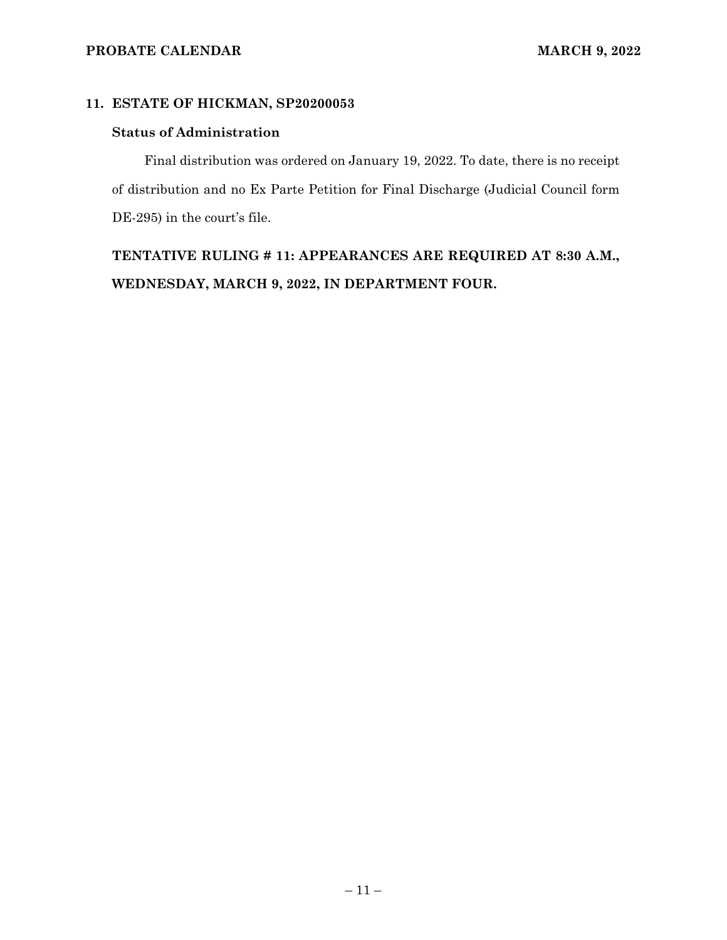# **11. ESTATE OF HICKMAN, SP20200053**

#### **Status of Administration**

Final distribution was ordered on January 19, 2022. To date, there is no receipt of distribution and no Ex Parte Petition for Final Discharge (Judicial Council form DE-295) in the court's file.

**TENTATIVE RULING # 11: APPEARANCES ARE REQUIRED AT 8:30 A.M., WEDNESDAY, MARCH 9, 2022, IN DEPARTMENT FOUR.**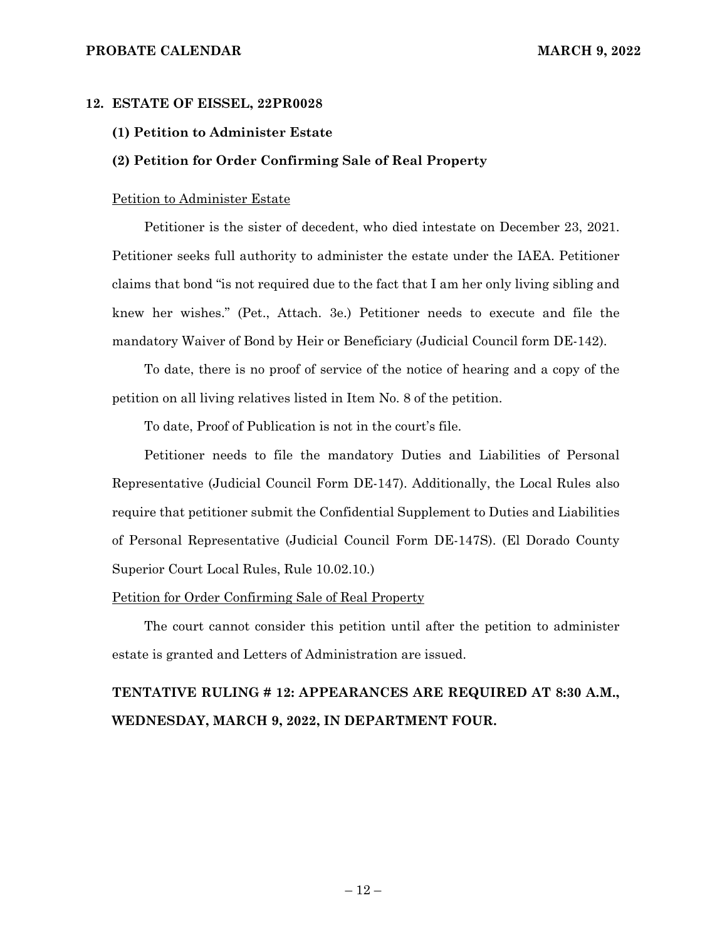#### **PROBATE CALENDAR MARCH 9, 2022**

#### **12. ESTATE OF EISSEL, 22PR0028**

#### **(1) Petition to Administer Estate**

#### **(2) Petition for Order Confirming Sale of Real Property**

#### Petition to Administer Estate

Petitioner is the sister of decedent, who died intestate on December 23, 2021. Petitioner seeks full authority to administer the estate under the IAEA. Petitioner claims that bond "is not required due to the fact that I am her only living sibling and knew her wishes." (Pet., Attach. 3e.) Petitioner needs to execute and file the mandatory Waiver of Bond by Heir or Beneficiary (Judicial Council form DE-142).

To date, there is no proof of service of the notice of hearing and a copy of the petition on all living relatives listed in Item No. 8 of the petition.

To date, Proof of Publication is not in the court's file.

Petitioner needs to file the mandatory Duties and Liabilities of Personal Representative (Judicial Council Form DE-147). Additionally, the Local Rules also require that petitioner submit the Confidential Supplement to Duties and Liabilities of Personal Representative (Judicial Council Form DE-147S). (El Dorado County Superior Court Local Rules, Rule 10.02.10.)

#### Petition for Order Confirming Sale of Real Property

The court cannot consider this petition until after the petition to administer estate is granted and Letters of Administration are issued.

# **TENTATIVE RULING # 12: APPEARANCES ARE REQUIRED AT 8:30 A.M., WEDNESDAY, MARCH 9, 2022, IN DEPARTMENT FOUR.**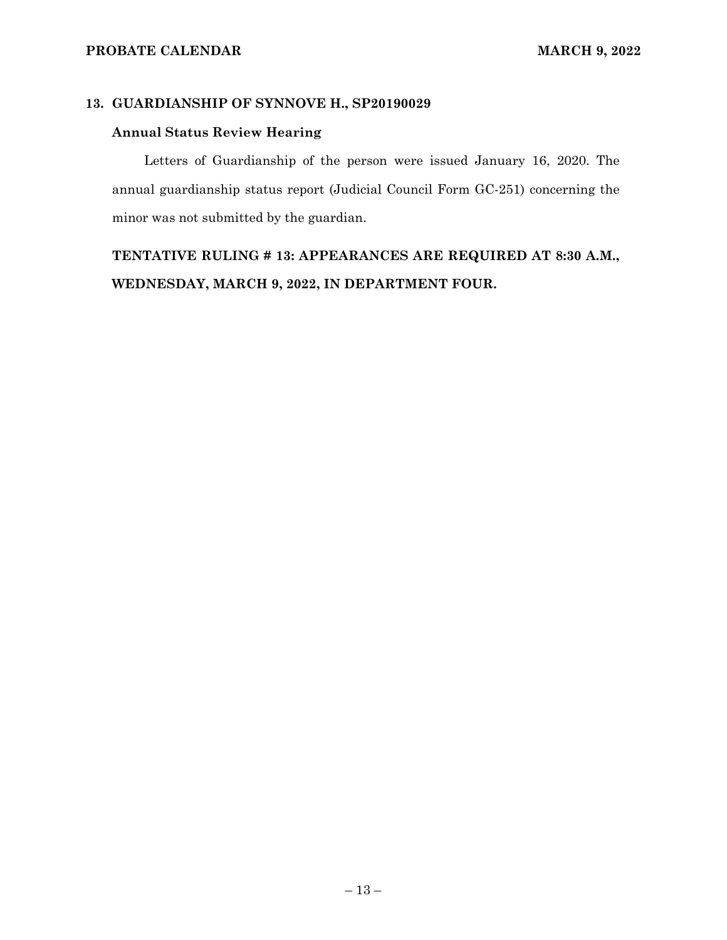# **13. GUARDIANSHIP OF SYNNOVE H., SP20190029**

## **Annual Status Review Hearing**

Letters of Guardianship of the person were issued January 16, 2020. The annual guardianship status report (Judicial Council Form GC-251) concerning the minor was not submitted by the guardian.

**TENTATIVE RULING # 13: APPEARANCES ARE REQUIRED AT 8:30 A.M., WEDNESDAY, MARCH 9, 2022, IN DEPARTMENT FOUR.**